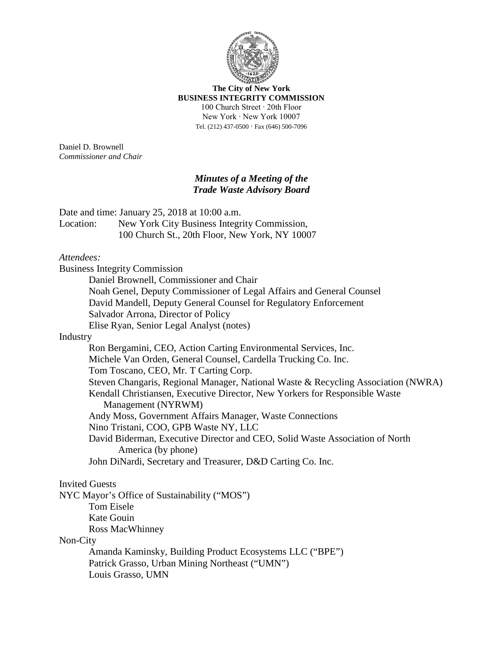

**The City of New York BUSINESS INTEGRITY COMMISSION** 100 Church Street ∙ 20th Floor New York ∙ New York 10007 Tel. (212) 437-0500 ∙ Fax (646) 500-7096

Daniel D. Brownell *Commissioner and Chair*

## *Minutes of a Meeting of the Trade Waste Advisory Board*

Date and time: January 25, 2018 at 10:00 a.m.

Location: New York City Business Integrity Commission, 100 Church St., 20th Floor, New York, NY 10007

## *Attendees:*

Business Integrity Commission Daniel Brownell, Commissioner and Chair Noah Genel, Deputy Commissioner of Legal Affairs and General Counsel David Mandell, Deputy General Counsel for Regulatory Enforcement Salvador Arrona, Director of Policy Elise Ryan, Senior Legal Analyst (notes) Industry Ron Bergamini, CEO, Action Carting Environmental Services, Inc. Michele Van Orden, General Counsel, Cardella Trucking Co. Inc. Tom Toscano, CEO, Mr. T Carting Corp. Steven Changaris, Regional Manager, National Waste & Recycling Association (NWRA) Kendall Christiansen, Executive Director, New Yorkers for Responsible Waste Management (NYRWM) Andy Moss, Government Affairs Manager, Waste Connections Nino Tristani, COO, GPB Waste NY, LLC David Biderman, Executive Director and CEO, Solid Waste Association of North America (by phone) John DiNardi, Secretary and Treasurer, D&D Carting Co. Inc. Invited Guests NYC Mayor's Office of Sustainability ("MOS") Tom Eisele Kate Gouin Ross MacWhinney Non-City Amanda Kaminsky, Building Product Ecosystems LLC ("BPE") Patrick Grasso, Urban Mining Northeast ("UMN") Louis Grasso, UMN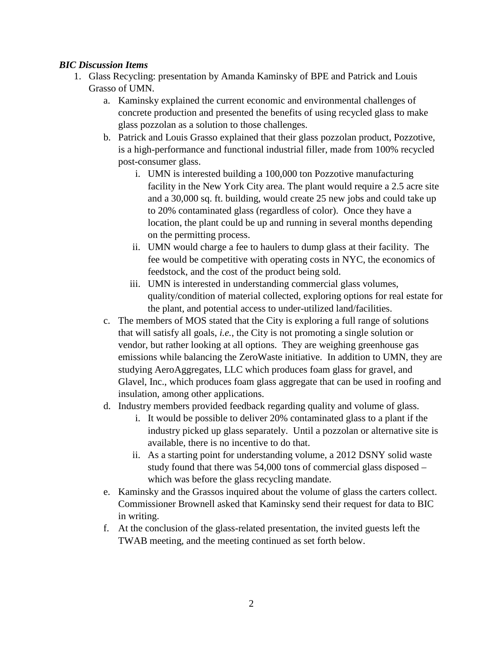## *BIC Discussion Items*

- 1. Glass Recycling: presentation by Amanda Kaminsky of BPE and Patrick and Louis Grasso of UMN.
	- a. Kaminsky explained the current economic and environmental challenges of concrete production and presented the benefits of using recycled glass to make glass pozzolan as a solution to those challenges.
	- b. Patrick and Louis Grasso explained that their glass pozzolan product, Pozzotive, is a high-performance and functional industrial filler, made from 100% recycled post-consumer glass.
		- i. UMN is interested building a 100,000 ton Pozzotive manufacturing facility in the New York City area. The plant would require a 2.5 acre site and a 30,000 sq. ft. building, would create 25 new jobs and could take up to 20% contaminated glass (regardless of color). Once they have a location, the plant could be up and running in several months depending on the permitting process.
		- ii. UMN would charge a fee to haulers to dump glass at their facility. The fee would be competitive with operating costs in NYC, the economics of feedstock, and the cost of the product being sold.
		- iii. UMN is interested in understanding commercial glass volumes, quality/condition of material collected, exploring options for real estate for the plant, and potential access to under-utilized land/facilities.
	- c. The members of MOS stated that the City is exploring a full range of solutions that will satisfy all goals, *i.e.*, the City is not promoting a single solution or vendor, but rather looking at all options. They are weighing greenhouse gas emissions while balancing the ZeroWaste initiative. In addition to UMN, they are studying AeroAggregates, LLC which produces foam glass for gravel, and Glavel, Inc., which produces foam glass aggregate that can be used in roofing and insulation, among other applications.
	- d. Industry members provided feedback regarding quality and volume of glass.
		- i. It would be possible to deliver 20% contaminated glass to a plant if the industry picked up glass separately. Until a pozzolan or alternative site is available, there is no incentive to do that.
		- ii. As a starting point for understanding volume, a 2012 DSNY solid waste study found that there was 54,000 tons of commercial glass disposed – which was before the glass recycling mandate.
	- e. Kaminsky and the Grassos inquired about the volume of glass the carters collect. Commissioner Brownell asked that Kaminsky send their request for data to BIC in writing.
	- f. At the conclusion of the glass-related presentation, the invited guests left the TWAB meeting, and the meeting continued as set forth below.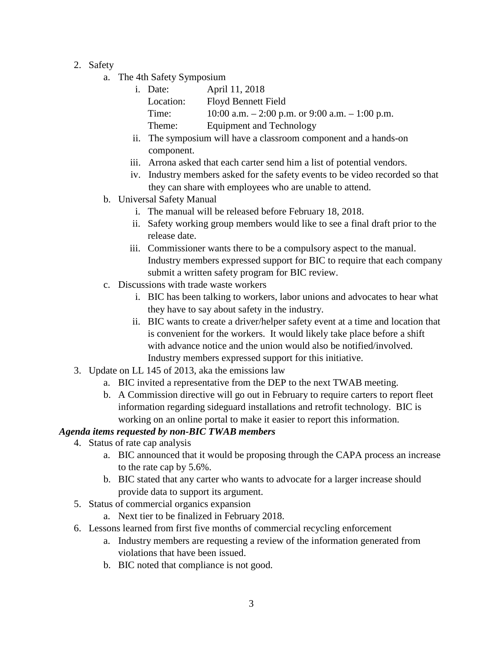- 2. Safety
	- a. The 4th Safety Symposium
		- i. Date: April 11, 2018 Location: Floyd Bennett Field Time:  $10:00$  a.m.  $-2:00$  p.m. or 9:00 a.m.  $-1:00$  p.m. Theme: Equipment and Technology
		- ii. The symposium will have a classroom component and a hands-on component.
		- iii. Arrona asked that each carter send him a list of potential vendors.
		- iv. Industry members asked for the safety events to be video recorded so that they can share with employees who are unable to attend.
	- b. Universal Safety Manual
		- i. The manual will be released before February 18, 2018.
		- ii. Safety working group members would like to see a final draft prior to the release date.
		- iii. Commissioner wants there to be a compulsory aspect to the manual. Industry members expressed support for BIC to require that each company submit a written safety program for BIC review.
	- c. Discussions with trade waste workers
		- i. BIC has been talking to workers, labor unions and advocates to hear what they have to say about safety in the industry.
		- ii. BIC wants to create a driver/helper safety event at a time and location that is convenient for the workers. It would likely take place before a shift with advance notice and the union would also be notified/involved. Industry members expressed support for this initiative.
- 3. Update on LL 145 of 2013, aka the emissions law
	- a. BIC invited a representative from the DEP to the next TWAB meeting.
	- b. A Commission directive will go out in February to require carters to report fleet information regarding sideguard installations and retrofit technology. BIC is working on an online portal to make it easier to report this information.

## *Agenda items requested by non-BIC TWAB members*

- 4. Status of rate cap analysis
	- a. BIC announced that it would be proposing through the CAPA process an increase to the rate cap by 5.6%.
	- b. BIC stated that any carter who wants to advocate for a larger increase should provide data to support its argument.
	- 5. Status of commercial organics expansion
		- a. Next tier to be finalized in February 2018.
	- 6. Lessons learned from first five months of commercial recycling enforcement
		- a. Industry members are requesting a review of the information generated from violations that have been issued.
		- b. BIC noted that compliance is not good.